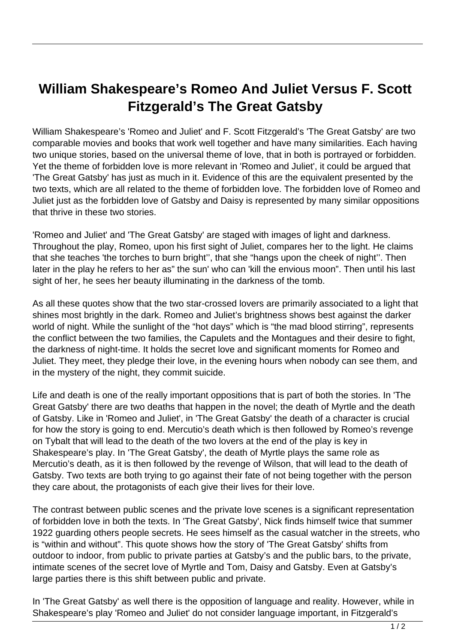## **William Shakespeare's Romeo And Juliet Versus F. Scott Fitzgerald's The Great Gatsby**

William Shakespeare's 'Romeo and Juliet' and F. Scott Fitzgerald's 'The Great Gatsby' are two comparable movies and books that work well together and have many similarities. Each having two unique stories, based on the universal theme of love, that in both is portrayed or forbidden. Yet the theme of forbidden love is more relevant in 'Romeo and Juliet', it could be argued that 'The Great Gatsby' has just as much in it. Evidence of this are the equivalent presented by the two texts, which are all related to the theme of forbidden love. The forbidden love of Romeo and Juliet just as the forbidden love of Gatsby and Daisy is represented by many similar oppositions that thrive in these two stories.

'Romeo and Juliet' and 'The Great Gatsby' are staged with images of light and darkness. Throughout the play, Romeo, upon his first sight of Juliet, compares her to the light. He claims that she teaches 'the torches to burn bright'', that she "hangs upon the cheek of night''. Then later in the play he refers to her as" the sun' who can 'kill the envious moon". Then until his last sight of her, he sees her beauty illuminating in the darkness of the tomb.

As all these quotes show that the two star-crossed lovers are primarily associated to a light that shines most brightly in the dark. Romeo and Juliet's brightness shows best against the darker world of night. While the sunlight of the "hot days" which is "the mad blood stirring", represents the conflict between the two families, the Capulets and the Montagues and their desire to fight, the darkness of night-time. It holds the secret love and significant moments for Romeo and Juliet. They meet, they pledge their love, in the evening hours when nobody can see them, and in the mystery of the night, they commit suicide.

Life and death is one of the really important oppositions that is part of both the stories. In 'The Great Gatsby' there are two deaths that happen in the novel; the death of Myrtle and the death of Gatsby. Like in 'Romeo and Juliet', in 'The Great Gatsby' the death of a character is crucial for how the story is going to end. Mercutio's death which is then followed by Romeo's revenge on Tybalt that will lead to the death of the two lovers at the end of the play is key in Shakespeare's play. In 'The Great Gatsby', the death of Myrtle plays the same role as Mercutio's death, as it is then followed by the revenge of Wilson, that will lead to the death of Gatsby. Two texts are both trying to go against their fate of not being together with the person they care about, the protagonists of each give their lives for their love.

The contrast between public scenes and the private love scenes is a significant representation of forbidden love in both the texts. In 'The Great Gatsby', Nick finds himself twice that summer 1922 guarding others people secrets. He sees himself as the casual watcher in the streets, who is "within and without". This quote shows how the story of 'The Great Gatsby' shifts from outdoor to indoor, from public to private parties at Gatsby's and the public bars, to the private, intimate scenes of the secret love of Myrtle and Tom, Daisy and Gatsby. Even at Gatsby's large parties there is this shift between public and private.

In 'The Great Gatsby' as well there is the opposition of language and reality. However, while in Shakespeare's play 'Romeo and Juliet' do not consider language important, in Fitzgerald's